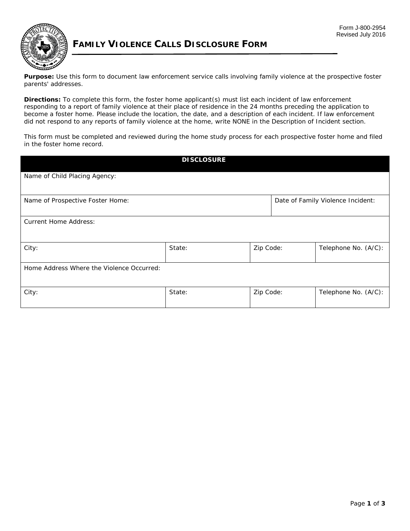

## **FAMILY VIOLENCE CALLS DISCLOSURE FORM**

 **Purpose:** Use this form to document law enforcement service calls involving family violence at the prospective foster parents' addresses.

 become a foster home. Please include the location, the date, and a description of each incident. If law enforcement **Directions:** To complete this form, the foster home applicant(s) must list each incident of law enforcement responding to a report of family violence at their place of residence in the 24 months preceding the application to did not respond to any reports of family violence at the home, write NONE in the Description of Incident section.

This form must be completed and reviewed during the home study process for each prospective foster home and filed in the foster home record.

| <b>DI SCLOSURE</b>                        |        |           |  |                                   |  |  |
|-------------------------------------------|--------|-----------|--|-----------------------------------|--|--|
| Name of Child Placing Agency:             |        |           |  |                                   |  |  |
| Name of Prospective Foster Home:          |        |           |  | Date of Family Violence Incident: |  |  |
| <b>Current Home Address:</b>              |        |           |  |                                   |  |  |
| City:                                     | State: | Zip Code: |  | Telephone No. (A/C):              |  |  |
| Home Address Where the Violence Occurred: |        |           |  |                                   |  |  |
| City:                                     | State: | Zip Code: |  | Telephone No. (A/C):              |  |  |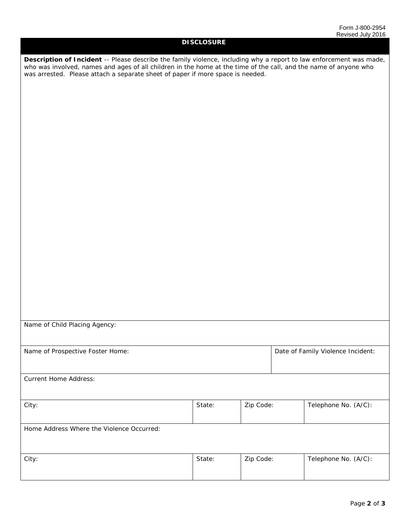| <b>DISCLOSURE</b>                                                                                                                                                                                                                                                                                                         |        |           |                                   |                      |  |
|---------------------------------------------------------------------------------------------------------------------------------------------------------------------------------------------------------------------------------------------------------------------------------------------------------------------------|--------|-----------|-----------------------------------|----------------------|--|
| Description of Incident -- Please describe the family violence, including why a report to law enforcement was made,<br>who was involved, names and ages of all children in the home at the time of the call, and the name of anyone who<br>was arrested. Please attach a separate sheet of paper if more space is needed. |        |           |                                   |                      |  |
|                                                                                                                                                                                                                                                                                                                           |        |           |                                   |                      |  |
|                                                                                                                                                                                                                                                                                                                           |        |           |                                   |                      |  |
|                                                                                                                                                                                                                                                                                                                           |        |           |                                   |                      |  |
|                                                                                                                                                                                                                                                                                                                           |        |           |                                   |                      |  |
|                                                                                                                                                                                                                                                                                                                           |        |           |                                   |                      |  |
|                                                                                                                                                                                                                                                                                                                           |        |           |                                   |                      |  |
|                                                                                                                                                                                                                                                                                                                           |        |           |                                   |                      |  |
| Name of Child Placing Agency:                                                                                                                                                                                                                                                                                             |        |           |                                   |                      |  |
| Name of Prospective Foster Home:                                                                                                                                                                                                                                                                                          |        |           | Date of Family Violence Incident: |                      |  |
| <b>Current Home Address:</b>                                                                                                                                                                                                                                                                                              |        |           |                                   |                      |  |
| City:                                                                                                                                                                                                                                                                                                                     | State: | Zip Code: |                                   | Telephone No. (A/C): |  |
| Home Address Where the Violence Occurred:                                                                                                                                                                                                                                                                                 |        |           |                                   |                      |  |
| City:                                                                                                                                                                                                                                                                                                                     | State: | Zip Code: |                                   | Telephone No. (A/C): |  |